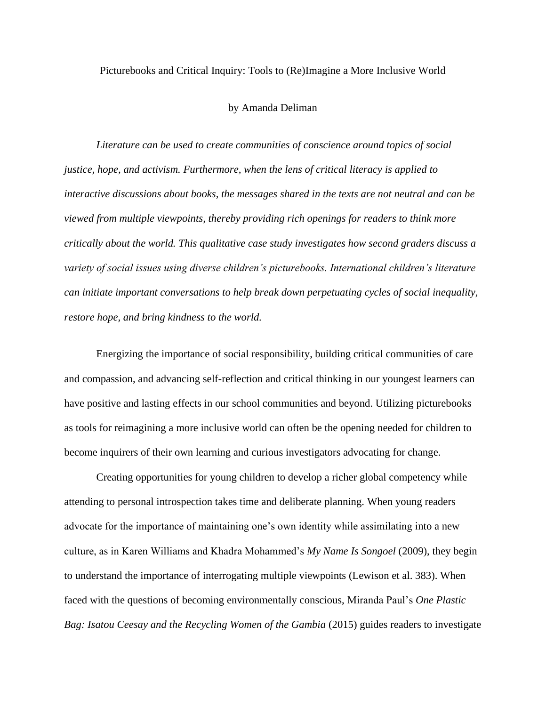Picturebooks and Critical Inquiry: Tools to (Re)Imagine a More Inclusive World

## by Amanda Deliman

*Literature can be used to create communities of conscience around topics of social justice, hope, and activism. Furthermore, when the lens of critical literacy is applied to interactive discussions about books, the messages shared in the texts are not neutral and can be viewed from multiple viewpoints, thereby providing rich openings for readers to think more critically about the world. This qualitative case study investigates how second graders discuss a variety of social issues using diverse children's picturebooks. International children's literature can initiate important conversations to help break down perpetuating cycles of social inequality, restore hope, and bring kindness to the world.*

Energizing the importance of social responsibility, building critical communities of care and compassion, and advancing self-reflection and critical thinking in our youngest learners can have positive and lasting effects in our school communities and beyond. Utilizing picturebooks as tools for reimagining a more inclusive world can often be the opening needed for children to become inquirers of their own learning and curious investigators advocating for change.

Creating opportunities for young children to develop a richer global competency while attending to personal introspection takes time and deliberate planning. When young readers advocate for the importance of maintaining one's own identity while assimilating into a new culture, as in Karen Williams and Khadra Mohammed's *My Name Is Songoel* (2009), they begin to understand the importance of interrogating multiple viewpoints (Lewison et al. 383). When faced with the questions of becoming environmentally conscious, Miranda Paul's *One Plastic Bag: Isatou Ceesay and the Recycling Women of the Gambia* (2015) guides readers to investigate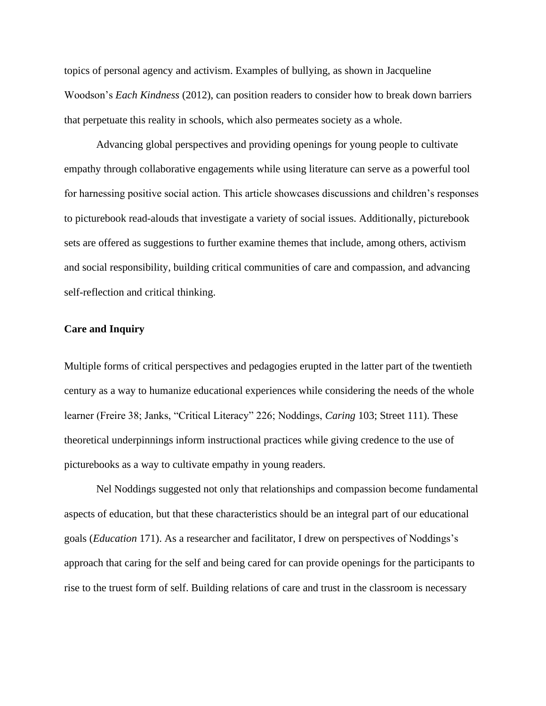topics of personal agency and activism. Examples of bullying, as shown in Jacqueline Woodson's *Each Kindness* (2012), can position readers to consider how to break down barriers that perpetuate this reality in schools, which also permeates society as a whole.

Advancing global perspectives and providing openings for young people to cultivate empathy through collaborative engagements while using literature can serve as a powerful tool for harnessing positive social action. This article showcases discussions and children's responses to picturebook read-alouds that investigate a variety of social issues. Additionally, picturebook sets are offered as suggestions to further examine themes that include, among others, activism and social responsibility, building critical communities of care and compassion, and advancing self-reflection and critical thinking.

### **Care and Inquiry**

Multiple forms of critical perspectives and pedagogies erupted in the latter part of the twentieth century as a way to humanize educational experiences while considering the needs of the whole learner (Freire 38; Janks, "Critical Literacy" 226; Noddings, *Caring* 103; Street 111). These theoretical underpinnings inform instructional practices while giving credence to the use of picturebooks as a way to cultivate empathy in young readers.

Nel Noddings suggested not only that relationships and compassion become fundamental aspects of education, but that these characteristics should be an integral part of our educational goals (*Education* 171). As a researcher and facilitator, I drew on perspectives of Noddings's approach that caring for the self and being cared for can provide openings for the participants to rise to the truest form of self. Building relations of care and trust in the classroom is necessary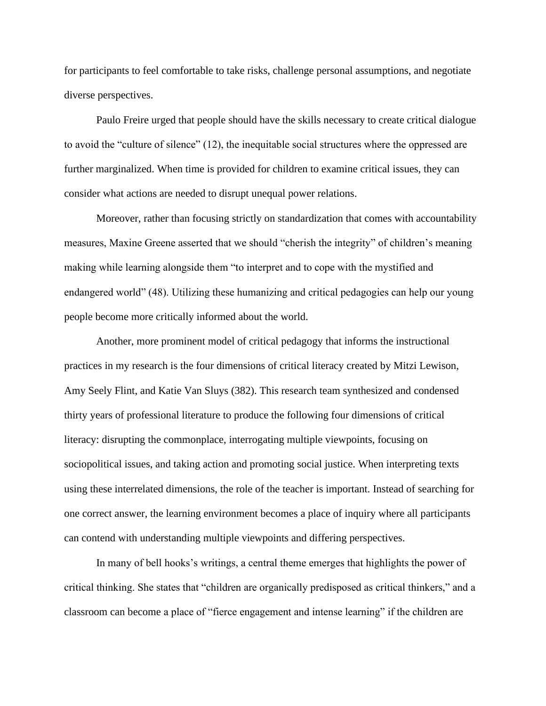for participants to feel comfortable to take risks, challenge personal assumptions, and negotiate diverse perspectives.

Paulo Freire urged that people should have the skills necessary to create critical dialogue to avoid the "culture of silence" (12), the inequitable social structures where the oppressed are further marginalized. When time is provided for children to examine critical issues, they can consider what actions are needed to disrupt unequal power relations.

Moreover, rather than focusing strictly on standardization that comes with accountability measures, Maxine Greene asserted that we should "cherish the integrity" of children's meaning making while learning alongside them "to interpret and to cope with the mystified and endangered world" (48). Utilizing these humanizing and critical pedagogies can help our young people become more critically informed about the world.

Another, more prominent model of critical pedagogy that informs the instructional practices in my research is the four dimensions of critical literacy created by Mitzi Lewison, Amy Seely Flint, and Katie Van Sluys (382). This research team synthesized and condensed thirty years of professional literature to produce the following four dimensions of critical literacy: disrupting the commonplace, interrogating multiple viewpoints, focusing on sociopolitical issues, and taking action and promoting social justice. When interpreting texts using these interrelated dimensions, the role of the teacher is important. Instead of searching for one correct answer, the learning environment becomes a place of inquiry where all participants can contend with understanding multiple viewpoints and differing perspectives.

In many of bell hooks's writings, a central theme emerges that highlights the power of critical thinking. She states that "children are organically predisposed as critical thinkers," and a classroom can become a place of "fierce engagement and intense learning" if the children are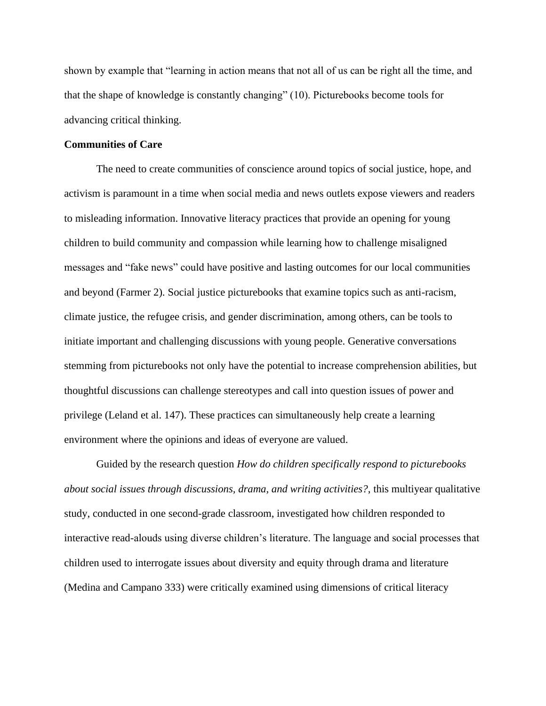shown by example that "learning in action means that not all of us can be right all the time, and that the shape of knowledge is constantly changing" (10). Picturebooks become tools for advancing critical thinking.

### **Communities of Care**

The need to create communities of conscience around topics of social justice, hope, and activism is paramount in a time when social media and news outlets expose viewers and readers to misleading information. Innovative literacy practices that provide an opening for young children to build community and compassion while learning how to challenge misaligned messages and "fake news" could have positive and lasting outcomes for our local communities and beyond (Farmer 2). Social justice picturebooks that examine topics such as anti-racism, climate justice, the refugee crisis, and gender discrimination, among others, can be tools to initiate important and challenging discussions with young people. Generative conversations stemming from picturebooks not only have the potential to increase comprehension abilities, but thoughtful discussions can challenge stereotypes and call into question issues of power and privilege (Leland et al. 147). These practices can simultaneously help create a learning environment where the opinions and ideas of everyone are valued.

Guided by the research question *How do children specifically respond to picturebooks about social issues through discussions, drama, and writing activities?*, this multiyear qualitative study, conducted in one second-grade classroom, investigated how children responded to interactive read-alouds using diverse children's literature. The language and social processes that children used to interrogate issues about diversity and equity through drama and literature (Medina and Campano 333) were critically examined using dimensions of critical literacy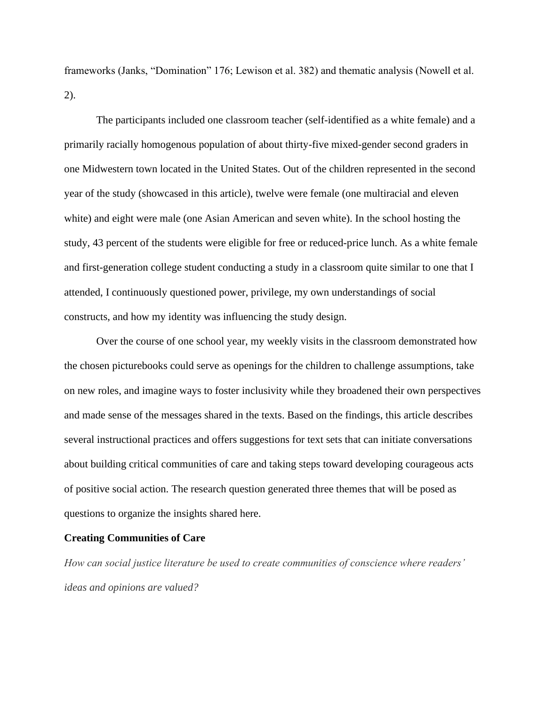frameworks (Janks, "Domination" 176; Lewison et al. 382) and thematic analysis (Nowell et al. 2).

The participants included one classroom teacher (self-identified as a white female) and a primarily racially homogenous population of about thirty-five mixed-gender second graders in one Midwestern town located in the United States. Out of the children represented in the second year of the study (showcased in this article), twelve were female (one multiracial and eleven white) and eight were male (one Asian American and seven white). In the school hosting the study, 43 percent of the students were eligible for free or reduced-price lunch. As a white female and first-generation college student conducting a study in a classroom quite similar to one that I attended, I continuously questioned power, privilege, my own understandings of social constructs, and how my identity was influencing the study design.

Over the course of one school year, my weekly visits in the classroom demonstrated how the chosen picturebooks could serve as openings for the children to challenge assumptions, take on new roles, and imagine ways to foster inclusivity while they broadened their own perspectives and made sense of the messages shared in the texts. Based on the findings, this article describes several instructional practices and offers suggestions for text sets that can initiate conversations about building critical communities of care and taking steps toward developing courageous acts of positive social action. The research question generated three themes that will be posed as questions to organize the insights shared here.

#### **Creating Communities of Care**

*How can social justice literature be used to create communities of conscience where readers' ideas and opinions are valued?*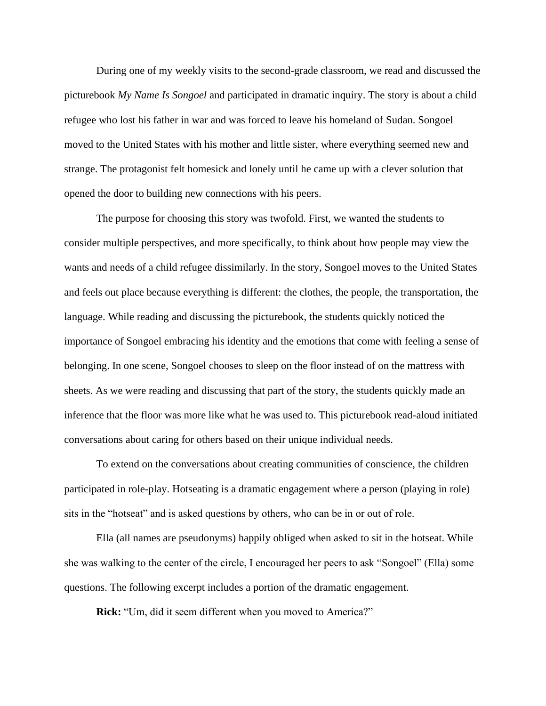During one of my weekly visits to the second-grade classroom, we read and discussed the picturebook *My Name Is Songoel* and participated in dramatic inquiry. The story is about a child refugee who lost his father in war and was forced to leave his homeland of Sudan. Songoel moved to the United States with his mother and little sister, where everything seemed new and strange. The protagonist felt homesick and lonely until he came up with a clever solution that opened the door to building new connections with his peers.

The purpose for choosing this story was twofold. First, we wanted the students to consider multiple perspectives, and more specifically, to think about how people may view the wants and needs of a child refugee dissimilarly. In the story, Songoel moves to the United States and feels out place because everything is different: the clothes, the people, the transportation, the language. While reading and discussing the picturebook, the students quickly noticed the importance of Songoel embracing his identity and the emotions that come with feeling a sense of belonging. In one scene, Songoel chooses to sleep on the floor instead of on the mattress with sheets. As we were reading and discussing that part of the story, the students quickly made an inference that the floor was more like what he was used to. This picturebook read-aloud initiated conversations about caring for others based on their unique individual needs.

To extend on the conversations about creating communities of conscience, the children participated in role-play. Hotseating is a dramatic engagement where a person (playing in role) sits in the "hotseat" and is asked questions by others, who can be in or out of role.

Ella (all names are pseudonyms) happily obliged when asked to sit in the hotseat. While she was walking to the center of the circle, I encouraged her peers to ask "Songoel" (Ella) some questions. The following excerpt includes a portion of the dramatic engagement.

**Rick:** "Um, did it seem different when you moved to America?"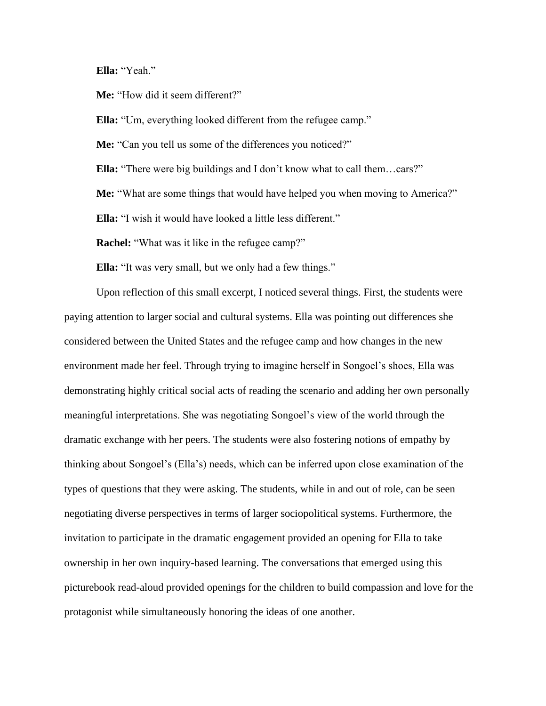**Ella:** "Yeah."

**Me:** "How did it seem different?"

**Ella:** "Um, everything looked different from the refugee camp."

**Me:** "Can you tell us some of the differences you noticed?"

**Ella:** "There were big buildings and I don't know what to call them…cars?"

**Me:** "What are some things that would have helped you when moving to America?"

**Ella:** "I wish it would have looked a little less different."

**Rachel:** "What was it like in the refugee camp?"

**Ella:** "It was very small, but we only had a few things."

Upon reflection of this small excerpt, I noticed several things. First, the students were paying attention to larger social and cultural systems. Ella was pointing out differences she considered between the United States and the refugee camp and how changes in the new environment made her feel. Through trying to imagine herself in Songoel's shoes, Ella was demonstrating highly critical social acts of reading the scenario and adding her own personally meaningful interpretations. She was negotiating Songoel's view of the world through the dramatic exchange with her peers. The students were also fostering notions of empathy by thinking about Songoel's (Ella's) needs, which can be inferred upon close examination of the types of questions that they were asking. The students, while in and out of role, can be seen negotiating diverse perspectives in terms of larger sociopolitical systems. Furthermore, the invitation to participate in the dramatic engagement provided an opening for Ella to take ownership in her own inquiry-based learning. The conversations that emerged using this picturebook read-aloud provided openings for the children to build compassion and love for the protagonist while simultaneously honoring the ideas of one another.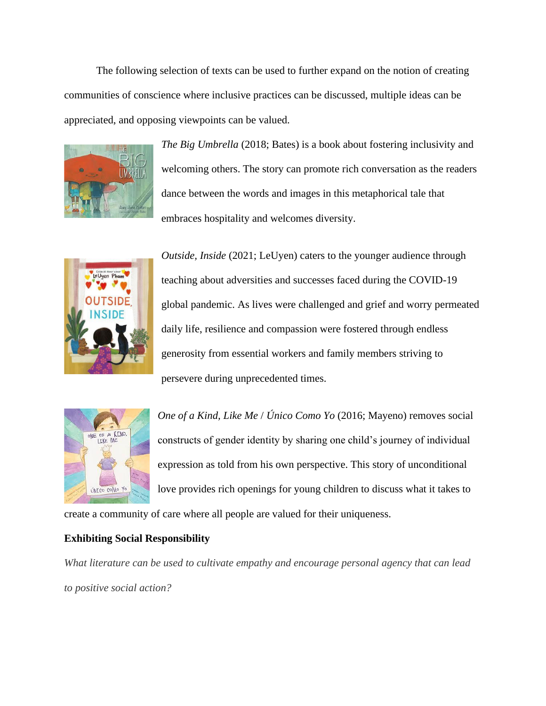The following selection of texts can be used to further expand on the notion of creating communities of conscience where inclusive practices can be discussed, multiple ideas can be appreciated, and opposing viewpoints can be valued.



*The Big Umbrella* (2018; Bates) is a book about fostering inclusivity and welcoming others. The story can promote rich conversation as the readers dance between the words and images in this metaphorical tale that embraces hospitality and welcomes diversity.



*Outside, Inside* (2021; LeUyen) caters to the younger audience through teaching about adversities and successes faced during the COVID-19 global pandemic. As lives were challenged and grief and worry permeated daily life, resilience and compassion were fostered through endless generosity from essential workers and family members striving to persevere during unprecedented times.



*One of a Kind, Like Me* / *Único Como Yo* (2016; Mayeno) removes social constructs of gender identity by sharing one child's journey of individual expression as told from his own perspective. This story of unconditional love provides rich openings for young children to discuss what it takes to

create a community of care where all people are valued for their uniqueness.

## **Exhibiting Social Responsibility**

*What literature can be used to cultivate empathy and encourage personal agency that can lead to positive social action?*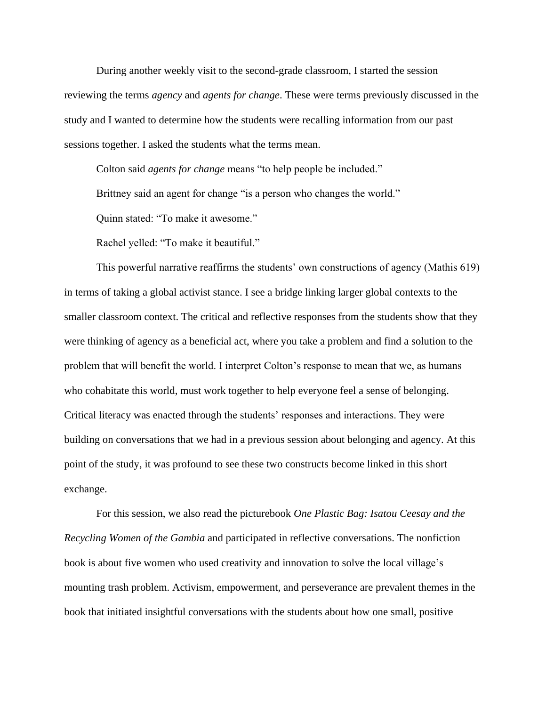During another weekly visit to the second-grade classroom, I started the session reviewing the terms *agency* and *agents for change*. These were terms previously discussed in the study and I wanted to determine how the students were recalling information from our past sessions together. I asked the students what the terms mean.

Colton said *agents for change* means "to help people be included."

Brittney said an agent for change "is a person who changes the world."

Quinn stated: "To make it awesome."

Rachel yelled: "To make it beautiful."

This powerful narrative reaffirms the students' own constructions of agency (Mathis 619) in terms of taking a global activist stance. I see a bridge linking larger global contexts to the smaller classroom context. The critical and reflective responses from the students show that they were thinking of agency as a beneficial act, where you take a problem and find a solution to the problem that will benefit the world. I interpret Colton's response to mean that we, as humans who cohabitate this world, must work together to help everyone feel a sense of belonging. Critical literacy was enacted through the students' responses and interactions. They were building on conversations that we had in a previous session about belonging and agency. At this point of the study, it was profound to see these two constructs become linked in this short exchange.

For this session, we also read the picturebook *One Plastic Bag: Isatou Ceesay and the Recycling Women of the Gambia* and participated in reflective conversations. The nonfiction book is about five women who used creativity and innovation to solve the local village's mounting trash problem. Activism, empowerment, and perseverance are prevalent themes in the book that initiated insightful conversations with the students about how one small, positive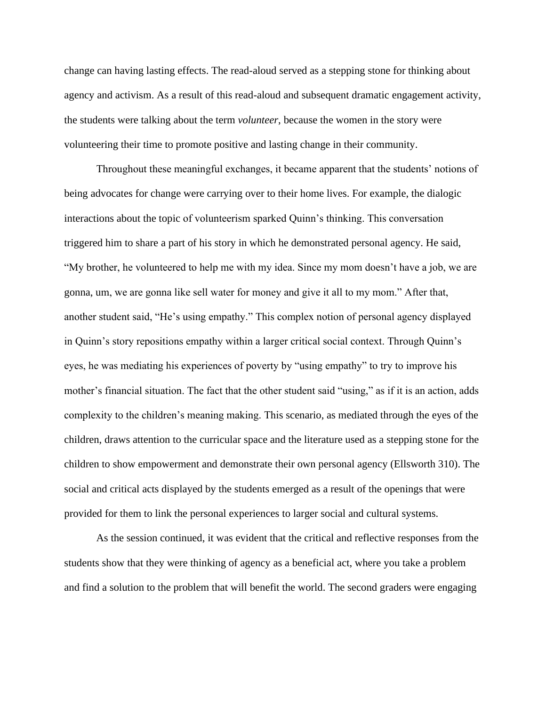change can having lasting effects. The read-aloud served as a stepping stone for thinking about agency and activism. As a result of this read-aloud and subsequent dramatic engagement activity, the students were talking about the term *volunteer*, because the women in the story were volunteering their time to promote positive and lasting change in their community.

Throughout these meaningful exchanges, it became apparent that the students' notions of being advocates for change were carrying over to their home lives. For example, the dialogic interactions about the topic of volunteerism sparked Quinn's thinking. This conversation triggered him to share a part of his story in which he demonstrated personal agency. He said, "My brother, he volunteered to help me with my idea. Since my mom doesn't have a job, we are gonna, um, we are gonna like sell water for money and give it all to my mom." After that, another student said, "He's using empathy." This complex notion of personal agency displayed in Quinn's story repositions empathy within a larger critical social context. Through Quinn's eyes, he was mediating his experiences of poverty by "using empathy" to try to improve his mother's financial situation. The fact that the other student said "using," as if it is an action, adds complexity to the children's meaning making. This scenario, as mediated through the eyes of the children, draws attention to the curricular space and the literature used as a stepping stone for the children to show empowerment and demonstrate their own personal agency (Ellsworth 310). The social and critical acts displayed by the students emerged as a result of the openings that were provided for them to link the personal experiences to larger social and cultural systems.

As the session continued, it was evident that the critical and reflective responses from the students show that they were thinking of agency as a beneficial act, where you take a problem and find a solution to the problem that will benefit the world. The second graders were engaging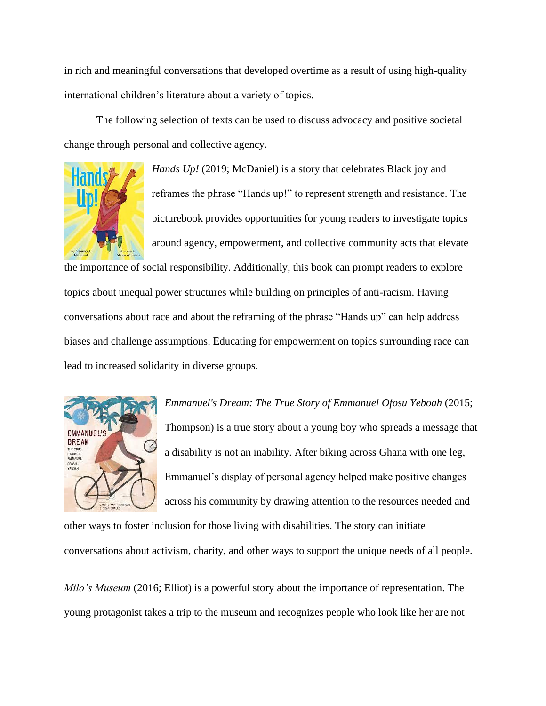in rich and meaningful conversations that developed overtime as a result of using high-quality international children's literature about a variety of topics.

The following selection of texts can be used to discuss advocacy and positive societal change through personal and collective agency.



*Hands Up!* (2019; McDaniel) is a story that celebrates Black joy and reframes the phrase "Hands up!" to represent strength and resistance. The picturebook provides opportunities for young readers to investigate topics around agency, empowerment, and collective community acts that elevate

the importance of social responsibility. Additionally, this book can prompt readers to explore topics about unequal power structures while building on principles of anti-racism. Having conversations about race and about the reframing of the phrase "Hands up" can help address biases and challenge assumptions. Educating for empowerment on topics surrounding race can lead to increased solidarity in diverse groups.



*Emmanuel's Dream: The True Story of Emmanuel Ofosu Yeboah* (2015; Thompson) is a true story about a young boy who spreads a message that a disability is not an inability. After biking across Ghana with one leg, Emmanuel's display of personal agency helped make positive changes across his community by drawing attention to the resources needed and

other ways to foster inclusion for those living with disabilities. The story can initiate conversations about activism, charity, and other ways to support the unique needs of all people.

*Milo's Museum* (2016; Elliot) is a powerful story about the importance of representation. The young protagonist takes a trip to the museum and recognizes people who look like her are not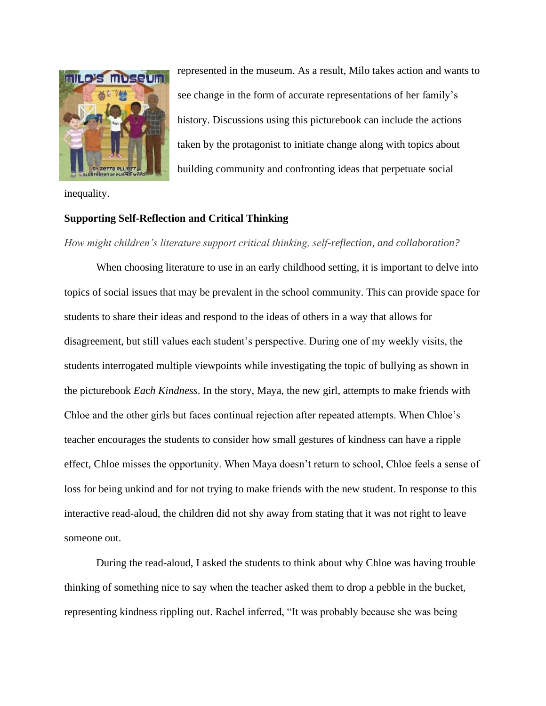

represented in the museum. As a result, Milo takes action and wants to see change in the form of accurate representations of her family's history. Discussions using this picturebook can include the actions taken by the protagonist to initiate change along with topics about building community and confronting ideas that perpetuate social

inequality.

## **Supporting Self-Reflection and Critical Thinking**

*How might children's literature support critical thinking, self-reflection, and collaboration?*

When choosing literature to use in an early childhood setting, it is important to delve into topics of social issues that may be prevalent in the school community. This can provide space for students to share their ideas and respond to the ideas of others in a way that allows for disagreement, but still values each student's perspective. During one of my weekly visits, the students interrogated multiple viewpoints while investigating the topic of bullying as shown in the picturebook *Ea*c*h Kindness*. In the story, Maya, the new girl, attempts to make friends with Chloe and the other girls but faces continual rejection after repeated attempts. When Chloe's teacher encourages the students to consider how small gestures of kindness can have a ripple effect, Chloe misses the opportunity. When Maya doesn't return to school, Chloe feels a sense of loss for being unkind and for not trying to make friends with the new student. In response to this interactive read-aloud, the children did not shy away from stating that it was not right to leave someone out.

During the read-aloud, I asked the students to think about why Chloe was having trouble thinking of something nice to say when the teacher asked them to drop a pebble in the bucket, representing kindness rippling out. Rachel inferred, "It was probably because she was being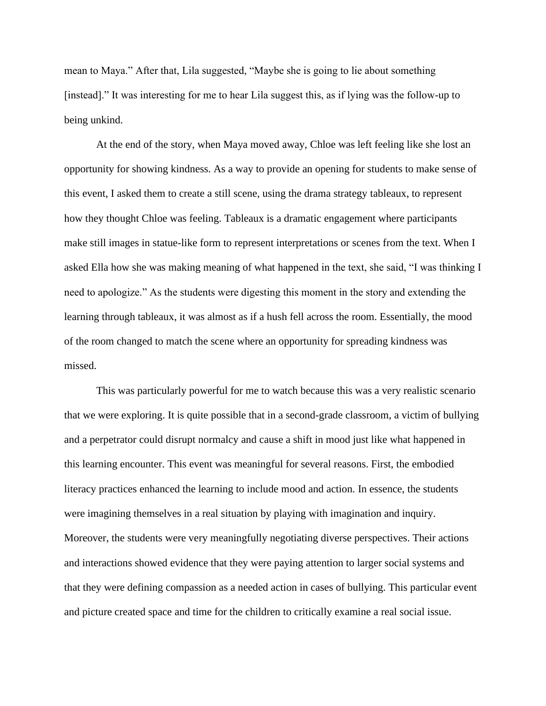mean to Maya." After that, Lila suggested, "Maybe she is going to lie about something [instead]." It was interesting for me to hear Lila suggest this, as if lying was the follow-up to being unkind.

At the end of the story, when Maya moved away, Chloe was left feeling like she lost an opportunity for showing kindness. As a way to provide an opening for students to make sense of this event, I asked them to create a still scene, using the drama strategy tableaux, to represent how they thought Chloe was feeling. Tableaux is a dramatic engagement where participants make still images in statue-like form to represent interpretations or scenes from the text. When I asked Ella how she was making meaning of what happened in the text, she said, "I was thinking I need to apologize." As the students were digesting this moment in the story and extending the learning through tableaux, it was almost as if a hush fell across the room. Essentially, the mood of the room changed to match the scene where an opportunity for spreading kindness was missed.

This was particularly powerful for me to watch because this was a very realistic scenario that we were exploring. It is quite possible that in a second-grade classroom, a victim of bullying and a perpetrator could disrupt normalcy and cause a shift in mood just like what happened in this learning encounter. This event was meaningful for several reasons. First, the embodied literacy practices enhanced the learning to include mood and action. In essence, the students were imagining themselves in a real situation by playing with imagination and inquiry. Moreover, the students were very meaningfully negotiating diverse perspectives. Their actions and interactions showed evidence that they were paying attention to larger social systems and that they were defining compassion as a needed action in cases of bullying. This particular event and picture created space and time for the children to critically examine a real social issue.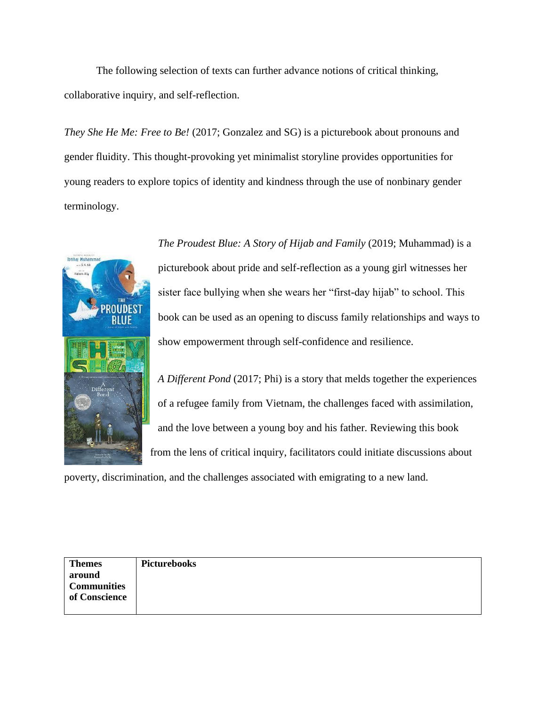The following selection of texts can further advance notions of critical thinking, collaborative inquiry, and self-reflection.

*They She He Me: Free to Be!* (2017; Gonzalez and SG) is a picturebook about pronouns and gender fluidity. This thought-provoking yet minimalist storyline provides opportunities for young readers to explore topics of identity and kindness through the use of nonbinary gender terminology.



*The Proudest Blue: A Story of Hijab and Family* (2019; Muhammad) is a picturebook about pride and self-reflection as a young girl witnesses her sister face bullying when she wears her "first-day hijab" to school. This book can be used as an opening to discuss family relationships and ways to show empowerment through self-confidence and resilience.

*A Different Pond* (2017; Phi) is a story that melds together the experiences of a refugee family from Vietnam, the challenges faced with assimilation, and the love between a young boy and his father. Reviewing this book from the lens of critical inquiry, facilitators could initiate discussions about

poverty, discrimination, and the challenges associated with emigrating to a new land.

| <b>Themes</b>      | Picturebooks |
|--------------------|--------------|
| around             |              |
| <b>Communities</b> |              |
| of Conscience      |              |
|                    |              |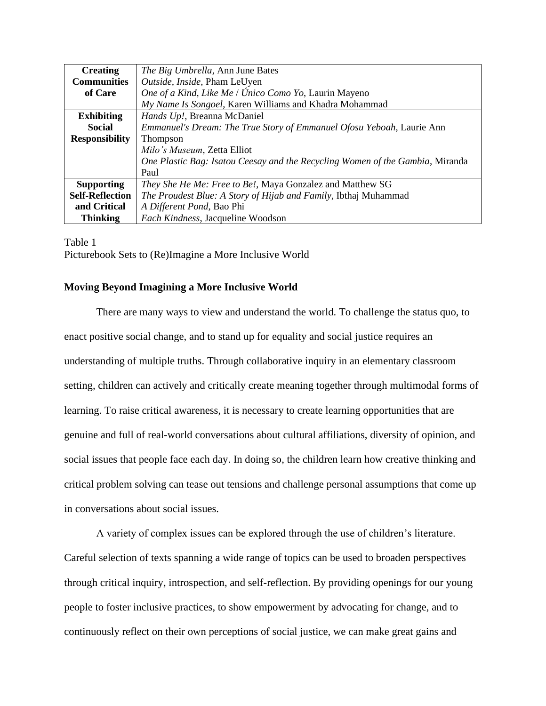| <b>Creating</b>        | The Big Umbrella, Ann June Bates                                              |
|------------------------|-------------------------------------------------------------------------------|
| <b>Communities</b>     | Outside, Inside, Pham LeUyen                                                  |
| of Care                | One of a Kind, Like Me / Único Como Yo, Laurin Mayeno                         |
|                        | My Name Is Songoel, Karen Williams and Khadra Mohammad                        |
| <b>Exhibiting</b>      | Hands Up!, Breanna McDaniel                                                   |
| <b>Social</b>          | Emmanuel's Dream: The True Story of Emmanuel Ofosu Yeboah, Laurie Ann         |
| <b>Responsibility</b>  | <b>Thompson</b>                                                               |
|                        | Milo's Museum, Zetta Elliot                                                   |
|                        | One Plastic Bag: Isatou Ceesay and the Recycling Women of the Gambia, Miranda |
|                        | Paul                                                                          |
| <b>Supporting</b>      | They She He Me: Free to Be!, Maya Gonzalez and Matthew SG                     |
| <b>Self-Reflection</b> | The Proudest Blue: A Story of Hijab and Family, Ibthaj Muhammad               |
| and Critical           | A Different Pond, Bao Phi                                                     |
| <b>Thinking</b>        | Each Kindness, Jacqueline Woodson                                             |

Table 1 Picturebook Sets to (Re)Imagine a More Inclusive World

# **Moving Beyond Imagining a More Inclusive World**

There are many ways to view and understand the world. To challenge the status quo, to enact positive social change, and to stand up for equality and social justice requires an understanding of multiple truths. Through collaborative inquiry in an elementary classroom setting, children can actively and critically create meaning together through multimodal forms of learning. To raise critical awareness, it is necessary to create learning opportunities that are genuine and full of real-world conversations about cultural affiliations, diversity of opinion, and social issues that people face each day. In doing so, the children learn how creative thinking and critical problem solving can tease out tensions and challenge personal assumptions that come up in conversations about social issues.

A variety of complex issues can be explored through the use of children's literature. Careful selection of texts spanning a wide range of topics can be used to broaden perspectives through critical inquiry, introspection, and self-reflection. By providing openings for our young people to foster inclusive practices, to show empowerment by advocating for change, and to continuously reflect on their own perceptions of social justice, we can make great gains and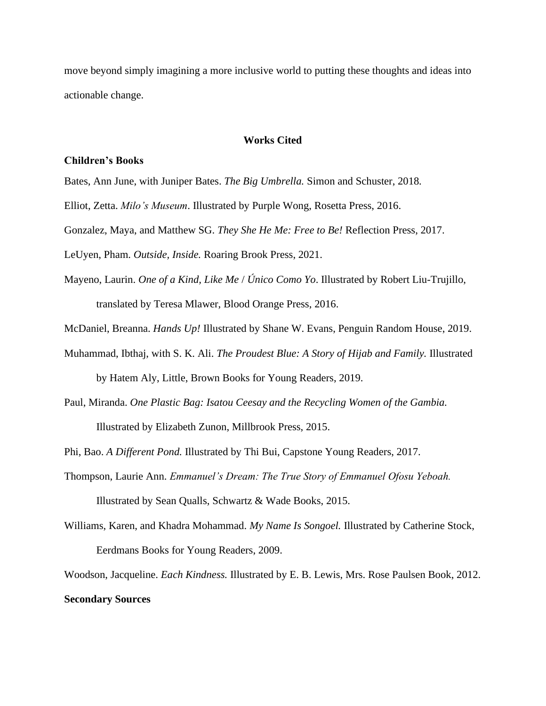move beyond simply imagining a more inclusive world to putting these thoughts and ideas into actionable change.

#### **Works Cited**

#### **Children's Books**

- Bates, Ann June, with Juniper Bates. *The Big Umbrella.* Simon and Schuster, 2018*.*
- Elliot, Zetta. *Milo's Museum*. Illustrated by Purple Wong, Rosetta Press, 2016.
- Gonzalez, Maya, and Matthew SG. *They She He Me: Free to Be!* Reflection Press, 2017.
- LeUyen, Pham. *Outside, Inside.* Roaring Brook Press, 2021.
- Mayeno, Laurin. *One of a Kind, Like Me* / *Único Como Yo*. Illustrated by Robert Liu-Trujillo, translated by Teresa Mlawer, Blood Orange Press, 2016.
- McDaniel, Breanna. *Hands Up!* Illustrated by Shane W. Evans, Penguin Random House, 2019.
- Muhammad, Ibthaj, with S. K. Ali. *The Proudest Blue: A Story of Hijab and Family.* Illustrated by Hatem Aly, Little, Brown Books for Young Readers, 2019.
- Paul, Miranda. *One Plastic Bag: Isatou Ceesay and the Recycling Women of the Gambia.*  Illustrated by Elizabeth Zunon, Millbrook Press, 2015.
- Phi, Bao. *A Different Pond.* Illustrated by Thi Bui, Capstone Young Readers, 2017.
- Thompson, Laurie Ann. *Emmanuel's Dream: The True Story of Emmanuel Ofosu Yeboah.*  Illustrated by Sean Qualls, Schwartz & Wade Books, 2015.
- Williams, Karen, and Khadra Mohammad. *My Name Is Songoel.* Illustrated by Catherine Stock, Eerdmans Books for Young Readers, 2009.
- Woodson, Jacqueline. *Each Kindness.* Illustrated by E. B. Lewis, Mrs. Rose Paulsen Book, 2012.

### **Secondary Sources**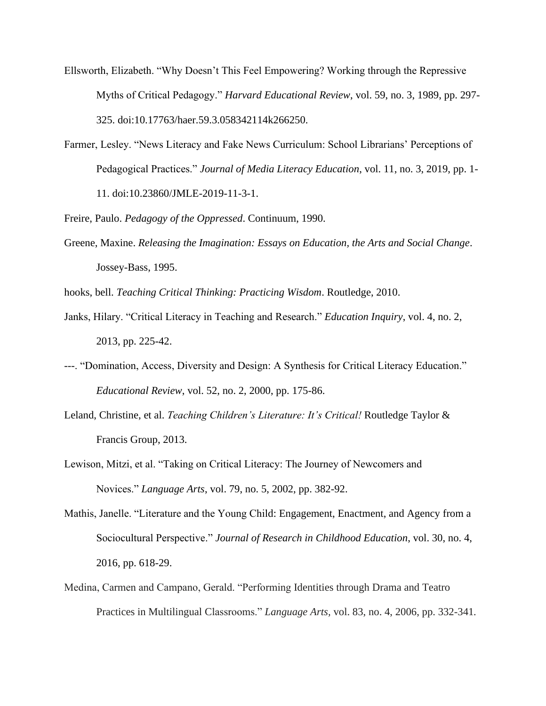- Ellsworth, Elizabeth. "Why Doesn't This Feel Empowering? Working through the Repressive Myths of Critical Pedagogy." *Harvard Educational Review*, vol. 59, no. 3, 1989, pp. 297- 325. doi:10.17763/haer.59.3.058342114k266250.
- Farmer, Lesley. "News Literacy and Fake News Curriculum: School Librarians' Perceptions of Pedagogical Practices." *Journal of Media Literacy Education*, vol. 11, no. 3, 2019, pp. 1- 11. doi:10.23860/JMLE-2019-11-3-1.

Freire, Paulo. *Pedagogy of the Oppressed*. Continuum, 1990.

Greene, Maxine. *Releasing the Imagination: Essays on Education, the Arts and Social Change*. Jossey-Bass, 1995.

hooks, bell. *Teaching Critical Thinking: Practicing Wisdom*. Routledge, 2010.

- Janks, Hilary. "Critical Literacy in Teaching and Research." *Education Inquiry*, vol. 4, no. 2, 2013, pp. 225-42.
- ---. "Domination, Access, Diversity and Design: A Synthesis for Critical Literacy Education." *Educational Review*, vol. 52, no. 2, 2000, pp. 175-86.
- Leland, Christine, et al. *Teaching Children's Literature: It's Critical!* Routledge Taylor & Francis Group, 2013.
- Lewison, Mitzi, et al. "Taking on Critical Literacy: The Journey of Newcomers and Novices." *Language Arts*, vol. 79, no. 5, 2002, pp. 382-92.
- Mathis, Janelle. "Literature and the Young Child: Engagement, Enactment, and Agency from a Sociocultural Perspective." *Journal of Research in Childhood Education*, vol. 30, no. 4, 2016, pp. 618-29.
- Medina, Carmen and Campano, Gerald. "Performing Identities through Drama and Teatro Practices in Multilingual Classrooms." *Language Arts,* vol. 83, no. 4, 2006, pp. 332-341*.*